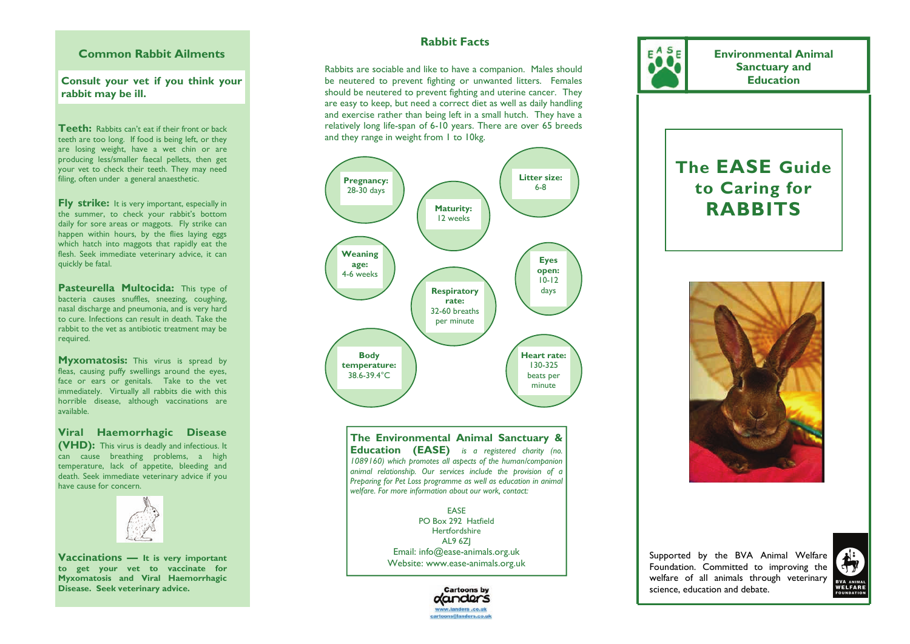## **Common Rabbit Ailments**

**Consult your vet if you think your rabbit may be ill.** 

**Teeth:** Rabbits can't eat if their front or back teeth are too long. If food is being left, or they are losing weight, have a wet chin or are producing less/smaller faecal pellets, then get your vet to check their teeth. They may need filing, often under a general anaesthetic.

**Fly strike:** It is very important, especially in the summer, to check your rabbit's bottom daily for sore areas or maggots. Fly strike can happen within hours, by the flies laying eggs which hatch into maggots that rapidly eat the flesh. Seek immediate veterinary advice, it can quickly be fatal.

**Pasteurella Multocida:** This type of bacteria causes snuffles, sneezing, coughing, nasal discharge and pneumonia, and is very hard to cure. Infections can result in death. Take the rabbit to the vet as antibiotic treatment may be required.

**Myxomatosis:** This virus is spread by fleas, causing puffy swellings around the eyes, face or ears or genitals. Take to the vet immediately. Virtually all rabbits die with this horrible disease, although vaccinations are available.

**Viral Haemorrhagic Disease (VHD):** This virus is deadly and infectious. It can cause breathing problems, a high temperature, lack of appetite, bleeding and death. Seek immediate veterinary advice if you have cause for concern.



**Vaccinations — It is very important to get your vet to vaccinate for Myxomatosis and Viral Haemorrhagic Disease. Seek veterinary advice.** 

# **Rabbit Facts**

Rabbits are sociable and like to have a companion. Males should be neutered to prevent fighting or unwanted litters. Females should be neutered to prevent fighting and uterine cancer. They are easy to keep, but need a correct diet as well as daily handling and exercise rather than being left in a small hutch. They have a relatively long life-span of 6-10 years. There are over 65 breeds and they range in weight from 1 to 10kg.



**The Environmental Animal Sanctuary & Education (EASE)** *is a registered charity (no. 1089160) which promotes all aspects of the human/companion animal relationship. Our services include the provision of a Preparing for Pet Loss programme as well as education in animal welfare. For more information about our work, contact:* 

> EASE PO Box 292 Hatfield Hertfordshire AL9 6ZJ Email: info@ease-animals.org.uk Website: www.ease-animals.org.uk





**Environmental Animal Sanctuary and Education** 

# **The EASE Guide to Caring for RABBITS**



Supported by the BVA Animal Welfare Foundation. Committed to improving the welfare of all animals through veterinary science, education and debate.